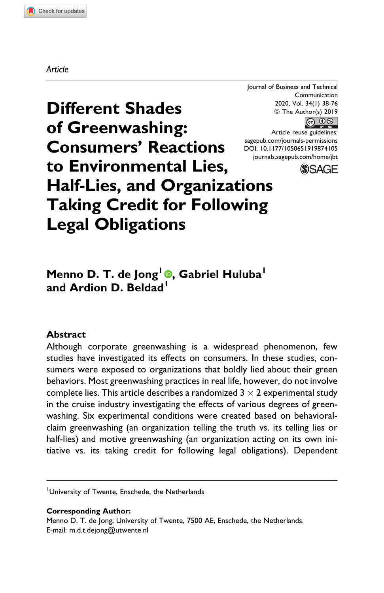#### Article

Journal of Business and Technical Communication 2020, Vol. 34(1) 38-76  $\circ$  The Author(s) 2019<br>  $\circ$   $\circ$ 

Article reuse guidelines: [sagepub.com/journals-permissions](https://sagepub.com/journals-permissions) [DOI: 10.1177/1050651919874105](https://doi.org/10.1177/1050651919874105) [journals.sagepub.com/home/jbt](http://journals.sagepub.com/home/jbt)



Different Shades of Greenwashing: Consumers' Reactions to Environmental Lies, Half-Lies, and Organizations Taking Credit for Following Legal Obligations

# Menno D. T. de Jong<sup>1</sup> [,](https://orcid.org/0000-0001-7128-6016) Gabriel Huluba<sup>1</sup> and Ardion D. Beldad<sup>1</sup>

#### **Abstract**

Although corporate greenwashing is a widespread phenomenon, few studies have investigated its effects on consumers. In these studies, consumers were exposed to organizations that boldly lied about their green behaviors. Most greenwashing practices in real life, however, do not involve complete lies. This article describes a randomized 3  $\times$  2 experimental study in the cruise industry investigating the effects of various degrees of greenwashing. Six experimental conditions were created based on behavioralclaim greenwashing (an organization telling the truth vs. its telling lies or half-lies) and motive greenwashing (an organization acting on its own initiative vs. its taking credit for following legal obligations). Dependent

#### Corresponding Author:

Menno D. T. de Jong, University of Twente, 7500 AE, Enschede, the Netherlands. E-mail: [m.d.t.dejong@utwente.nl](mailto:m.d.t.dejong@utwente.nl)

University of Twente, Enschede, the Netherlands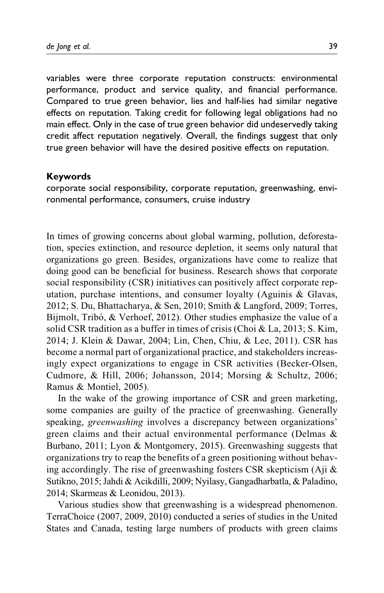variables were three corporate reputation constructs: environmental performance, product and service quality, and financial performance. Compared to true green behavior, lies and half-lies had similar negative effects on reputation. Taking credit for following legal obligations had no main effect. Only in the case of true green behavior did undeservedly taking credit affect reputation negatively. Overall, the findings suggest that only true green behavior will have the desired positive effects on reputation.

#### Keywords

corporate social responsibility, corporate reputation, greenwashing, environmental performance, consumers, cruise industry

In times of growing concerns about global warming, pollution, deforestation, species extinction, and resource depletion, it seems only natural that organizations go green. Besides, organizations have come to realize that doing good can be beneficial for business. Research shows that corporate social responsibility (CSR) initiatives can positively affect corporate reputation, purchase intentions, and consumer loyalty (Aguinis & Glavas, 2012; S. Du, Bhattacharya, & Sen, 2010; Smith & Langford, 2009; Torres, Bijmolt, Tribó, & Verhoef, 2012). Other studies emphasize the value of a solid CSR tradition as a buffer in times of crisis (Choi & La, 2013; S. Kim, 2014; J. Klein & Dawar, 2004; Lin, Chen, Chiu, & Lee, 2011). CSR has become a normal part of organizational practice, and stakeholders increasingly expect organizations to engage in CSR activities (Becker-Olsen, Cudmore, & Hill, 2006; Johansson, 2014; Morsing & Schultz, 2006; Ramus & Montiel, 2005).

In the wake of the growing importance of CSR and green marketing, some companies are guilty of the practice of greenwashing. Generally speaking, greenwashing involves a discrepancy between organizations' green claims and their actual environmental performance (Delmas & Burbano, 2011; Lyon & Montgomery, 2015). Greenwashing suggests that organizations try to reap the benefits of a green positioning without behaving accordingly. The rise of greenwashing fosters CSR skepticism (Aji & Sutikno, 2015; Jahdi & Acikdilli, 2009; Nyilasy, Gangadharbatla, & Paladino, 2014; Skarmeas & Leonidou, 2013).

Various studies show that greenwashing is a widespread phenomenon. TerraChoice (2007, 2009, 2010) conducted a series of studies in the United States and Canada, testing large numbers of products with green claims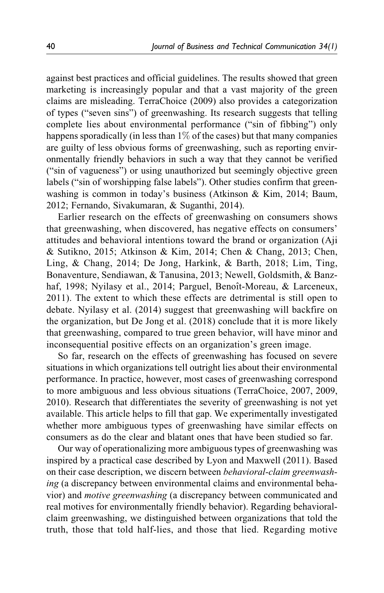against best practices and official guidelines. The results showed that green marketing is increasingly popular and that a vast majority of the green claims are misleading. TerraChoice (2009) also provides a categorization of types ("seven sins") of greenwashing. Its research suggests that telling complete lies about environmental performance ("sin of fibbing") only happens sporadically (in less than  $1\%$  of the cases) but that many companies are guilty of less obvious forms of greenwashing, such as reporting environmentally friendly behaviors in such a way that they cannot be verified ("sin of vagueness") or using unauthorized but seemingly objective green labels ("sin of worshipping false labels"). Other studies confirm that greenwashing is common in today's business (Atkinson & Kim, 2014; Baum, 2012; Fernando, Sivakumaran, & Suganthi, 2014).

Earlier research on the effects of greenwashing on consumers shows that greenwashing, when discovered, has negative effects on consumers' attitudes and behavioral intentions toward the brand or organization (Aji & Sutikno, 2015; Atkinson & Kim, 2014; Chen & Chang, 2013; Chen, Ling, & Chang, 2014; De Jong, Harkink, & Barth, 2018; Lim, Ting, Bonaventure, Sendiawan, & Tanusina, 2013; Newell, Goldsmith, & Banzhaf, 1998; Nyilasy et al., 2014; Parguel, Benoît-Moreau, & Larceneux, 2011). The extent to which these effects are detrimental is still open to debate. Nyilasy et al. (2014) suggest that greenwashing will backfire on the organization, but De Jong et al. (2018) conclude that it is more likely that greenwashing, compared to true green behavior, will have minor and inconsequential positive effects on an organization's green image.

So far, research on the effects of greenwashing has focused on severe situations in which organizations tell outright lies about their environmental performance. In practice, however, most cases of greenwashing correspond to more ambiguous and less obvious situations (TerraChoice, 2007, 2009, 2010). Research that differentiates the severity of greenwashing is not yet available. This article helps to fill that gap. We experimentally investigated whether more ambiguous types of greenwashing have similar effects on consumers as do the clear and blatant ones that have been studied so far.

Our way of operationalizing more ambiguous types of greenwashing was inspired by a practical case described by Lyon and Maxwell (2011). Based on their case description, we discern between behavioral-claim greenwashing (a discrepancy between environmental claims and environmental behavior) and motive greenwashing (a discrepancy between communicated and real motives for environmentally friendly behavior). Regarding behavioralclaim greenwashing, we distinguished between organizations that told the truth, those that told half-lies, and those that lied. Regarding motive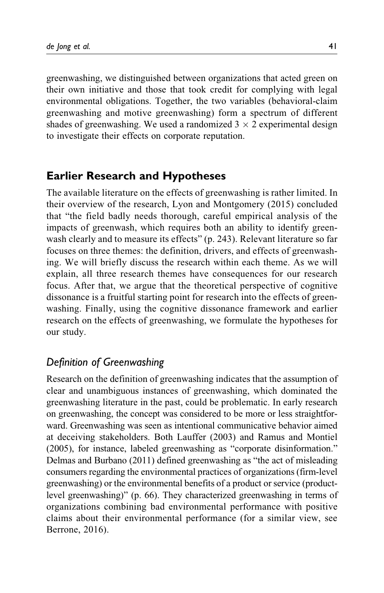greenwashing, we distinguished between organizations that acted green on their own initiative and those that took credit for complying with legal environmental obligations. Together, the two variables (behavioral-claim greenwashing and motive greenwashing) form a spectrum of different shades of greenwashing. We used a randomized  $3 \times 2$  experimental design to investigate their effects on corporate reputation.

# Earlier Research and Hypotheses

The available literature on the effects of greenwashing is rather limited. In their overview of the research, Lyon and Montgomery (2015) concluded that "the field badly needs thorough, careful empirical analysis of the impacts of greenwash, which requires both an ability to identify greenwash clearly and to measure its effects" (p. 243). Relevant literature so far focuses on three themes: the definition, drivers, and effects of greenwashing. We will briefly discuss the research within each theme. As we will explain, all three research themes have consequences for our research focus. After that, we argue that the theoretical perspective of cognitive dissonance is a fruitful starting point for research into the effects of greenwashing. Finally, using the cognitive dissonance framework and earlier research on the effects of greenwashing, we formulate the hypotheses for our study.

# Definition of Greenwashing

Research on the definition of greenwashing indicates that the assumption of clear and unambiguous instances of greenwashing, which dominated the greenwashing literature in the past, could be problematic. In early research on greenwashing, the concept was considered to be more or less straightforward. Greenwashing was seen as intentional communicative behavior aimed at deceiving stakeholders. Both Lauffer (2003) and Ramus and Montiel (2005), for instance, labeled greenwashing as "corporate disinformation." Delmas and Burbano (2011) defined greenwashing as "the act of misleading consumers regarding the environmental practices of organizations (firm-level greenwashing) or the environmental benefits of a product or service (productlevel greenwashing)" (p. 66). They characterized greenwashing in terms of organizations combining bad environmental performance with positive claims about their environmental performance (for a similar view, see Berrone, 2016).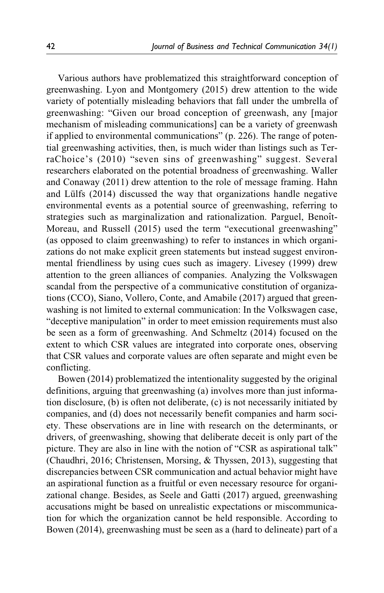Various authors have problematized this straightforward conception of greenwashing. Lyon and Montgomery (2015) drew attention to the wide variety of potentially misleading behaviors that fall under the umbrella of greenwashing: "Given our broad conception of greenwash, any [major mechanism of misleading communications] can be a variety of greenwash if applied to environmental communications" (p. 226). The range of potential greenwashing activities, then, is much wider than listings such as TerraChoice's (2010) "seven sins of greenwashing" suggest. Several researchers elaborated on the potential broadness of greenwashing. Waller and Conaway (2011) drew attention to the role of message framing. Hahn and Lülfs (2014) discussed the way that organizations handle negative environmental events as a potential source of greenwashing, referring to strategies such as marginalization and rationalization. Parguel, Benoît-Moreau, and Russell (2015) used the term "executional greenwashing" (as opposed to claim greenwashing) to refer to instances in which organizations do not make explicit green statements but instead suggest environmental friendliness by using cues such as imagery. Livesey (1999) drew attention to the green alliances of companies. Analyzing the Volkswagen scandal from the perspective of a communicative constitution of organizations (CCO), Siano, Vollero, Conte, and Amabile (2017) argued that greenwashing is not limited to external communication: In the Volkswagen case, "deceptive manipulation" in order to meet emission requirements must also be seen as a form of greenwashing. And Schmeltz (2014) focused on the extent to which CSR values are integrated into corporate ones, observing that CSR values and corporate values are often separate and might even be conflicting.

Bowen (2014) problematized the intentionality suggested by the original definitions, arguing that greenwashing (a) involves more than just information disclosure, (b) is often not deliberate, (c) is not necessarily initiated by companies, and (d) does not necessarily benefit companies and harm society. These observations are in line with research on the determinants, or drivers, of greenwashing, showing that deliberate deceit is only part of the picture. They are also in line with the notion of "CSR as aspirational talk" (Chaudhri, 2016; Christensen, Morsing, & Thyssen, 2013), suggesting that discrepancies between CSR communication and actual behavior might have an aspirational function as a fruitful or even necessary resource for organizational change. Besides, as Seele and Gatti (2017) argued, greenwashing accusations might be based on unrealistic expectations or miscommunication for which the organization cannot be held responsible. According to Bowen (2014), greenwashing must be seen as a (hard to delineate) part of a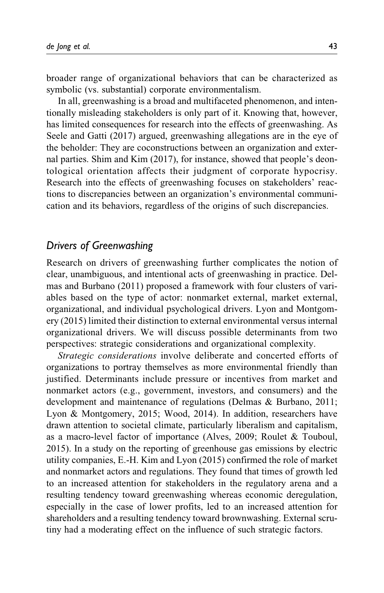broader range of organizational behaviors that can be characterized as symbolic (vs. substantial) corporate environmentalism.

In all, greenwashing is a broad and multifaceted phenomenon, and intentionally misleading stakeholders is only part of it. Knowing that, however, has limited consequences for research into the effects of greenwashing. As Seele and Gatti (2017) argued, greenwashing allegations are in the eye of the beholder: They are coconstructions between an organization and external parties. Shim and Kim (2017), for instance, showed that people's deontological orientation affects their judgment of corporate hypocrisy. Research into the effects of greenwashing focuses on stakeholders' reactions to discrepancies between an organization's environmental communication and its behaviors, regardless of the origins of such discrepancies.

#### Drivers of Greenwashing

Research on drivers of greenwashing further complicates the notion of clear, unambiguous, and intentional acts of greenwashing in practice. Delmas and Burbano (2011) proposed a framework with four clusters of variables based on the type of actor: nonmarket external, market external, organizational, and individual psychological drivers. Lyon and Montgomery (2015) limited their distinction to external environmental versus internal organizational drivers. We will discuss possible determinants from two perspectives: strategic considerations and organizational complexity.

Strategic considerations involve deliberate and concerted efforts of organizations to portray themselves as more environmental friendly than justified. Determinants include pressure or incentives from market and nonmarket actors (e.g., government, investors, and consumers) and the development and maintenance of regulations (Delmas & Burbano, 2011; Lyon & Montgomery, 2015; Wood, 2014). In addition, researchers have drawn attention to societal climate, particularly liberalism and capitalism, as a macro-level factor of importance (Alves, 2009; Roulet & Touboul, 2015). In a study on the reporting of greenhouse gas emissions by electric utility companies, E.-H. Kim and Lyon (2015) confirmed the role of market and nonmarket actors and regulations. They found that times of growth led to an increased attention for stakeholders in the regulatory arena and a resulting tendency toward greenwashing whereas economic deregulation, especially in the case of lower profits, led to an increased attention for shareholders and a resulting tendency toward brownwashing. External scrutiny had a moderating effect on the influence of such strategic factors.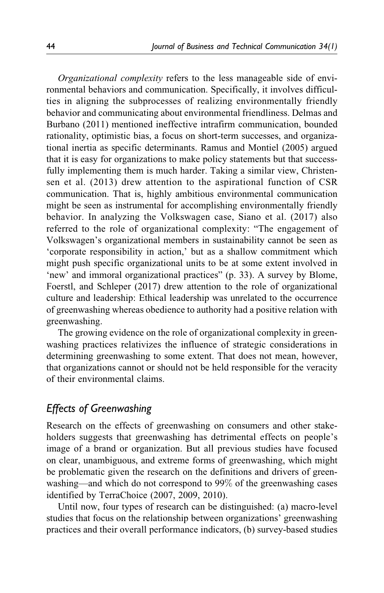Organizational complexity refers to the less manageable side of environmental behaviors and communication. Specifically, it involves difficulties in aligning the subprocesses of realizing environmentally friendly behavior and communicating about environmental friendliness. Delmas and Burbano (2011) mentioned ineffective intrafirm communication, bounded rationality, optimistic bias, a focus on short-term successes, and organizational inertia as specific determinants. Ramus and Montiel (2005) argued that it is easy for organizations to make policy statements but that successfully implementing them is much harder. Taking a similar view, Christensen et al. (2013) drew attention to the aspirational function of CSR communication. That is, highly ambitious environmental communication might be seen as instrumental for accomplishing environmentally friendly behavior. In analyzing the Volkswagen case, Siano et al. (2017) also referred to the role of organizational complexity: "The engagement of Volkswagen's organizational members in sustainability cannot be seen as 'corporate responsibility in action,' but as a shallow commitment which might push specific organizational units to be at some extent involved in 'new' and immoral organizational practices" (p. 33). A survey by Blome, Foerstl, and Schleper (2017) drew attention to the role of organizational culture and leadership: Ethical leadership was unrelated to the occurrence of greenwashing whereas obedience to authority had a positive relation with greenwashing.

The growing evidence on the role of organizational complexity in greenwashing practices relativizes the influence of strategic considerations in determining greenwashing to some extent. That does not mean, however, that organizations cannot or should not be held responsible for the veracity of their environmental claims.

# Effects of Greenwashing

Research on the effects of greenwashing on consumers and other stakeholders suggests that greenwashing has detrimental effects on people's image of a brand or organization. But all previous studies have focused on clear, unambiguous, and extreme forms of greenwashing, which might be problematic given the research on the definitions and drivers of greenwashing—and which do not correspond to 99% of the greenwashing cases identified by TerraChoice (2007, 2009, 2010).

Until now, four types of research can be distinguished: (a) macro-level studies that focus on the relationship between organizations' greenwashing practices and their overall performance indicators, (b) survey-based studies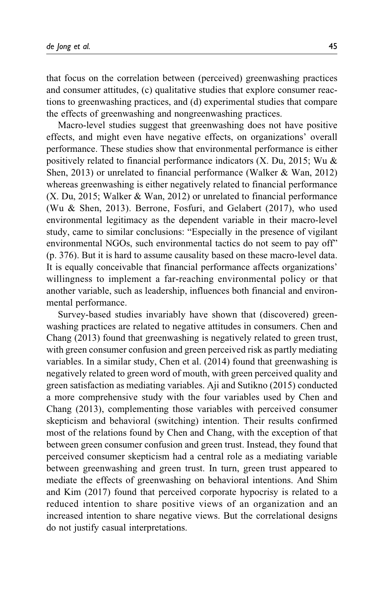that focus on the correlation between (perceived) greenwashing practices and consumer attitudes, (c) qualitative studies that explore consumer reactions to greenwashing practices, and (d) experimental studies that compare the effects of greenwashing and nongreenwashing practices.

Macro-level studies suggest that greenwashing does not have positive effects, and might even have negative effects, on organizations' overall performance. These studies show that environmental performance is either positively related to financial performance indicators (X. Du, 2015; Wu & Shen, 2013) or unrelated to financial performance (Walker & Wan, 2012) whereas greenwashing is either negatively related to financial performance (X. Du, 2015; Walker & Wan, 2012) or unrelated to financial performance (Wu & Shen, 2013). Berrone, Fosfuri, and Gelabert (2017), who used environmental legitimacy as the dependent variable in their macro-level study, came to similar conclusions: "Especially in the presence of vigilant environmental NGOs, such environmental tactics do not seem to pay off" (p. 376). But it is hard to assume causality based on these macro-level data. It is equally conceivable that financial performance affects organizations' willingness to implement a far-reaching environmental policy or that another variable, such as leadership, influences both financial and environmental performance.

Survey-based studies invariably have shown that (discovered) greenwashing practices are related to negative attitudes in consumers. Chen and Chang (2013) found that greenwashing is negatively related to green trust, with green consumer confusion and green perceived risk as partly mediating variables. In a similar study, Chen et al. (2014) found that greenwashing is negatively related to green word of mouth, with green perceived quality and green satisfaction as mediating variables. Aji and Sutikno (2015) conducted a more comprehensive study with the four variables used by Chen and Chang (2013), complementing those variables with perceived consumer skepticism and behavioral (switching) intention. Their results confirmed most of the relations found by Chen and Chang, with the exception of that between green consumer confusion and green trust. Instead, they found that perceived consumer skepticism had a central role as a mediating variable between greenwashing and green trust. In turn, green trust appeared to mediate the effects of greenwashing on behavioral intentions. And Shim and Kim (2017) found that perceived corporate hypocrisy is related to a reduced intention to share positive views of an organization and an increased intention to share negative views. But the correlational designs do not justify casual interpretations.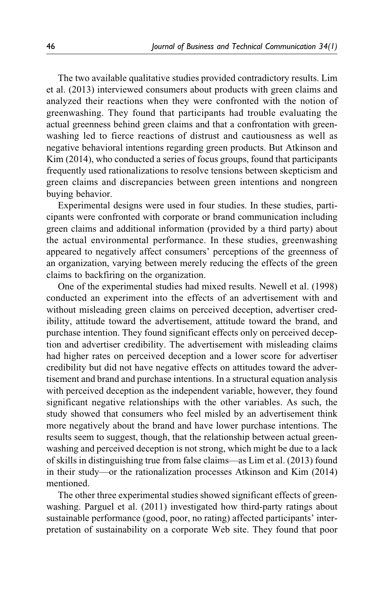The two available qualitative studies provided contradictory results. Lim et al. (2013) interviewed consumers about products with green claims and analyzed their reactions when they were confronted with the notion of greenwashing. They found that participants had trouble evaluating the actual greenness behind green claims and that a confrontation with greenwashing led to fierce reactions of distrust and cautiousness as well as negative behavioral intentions regarding green products. But Atkinson and Kim (2014), who conducted a series of focus groups, found that participants frequently used rationalizations to resolve tensions between skepticism and green claims and discrepancies between green intentions and nongreen buying behavior.

Experimental designs were used in four studies. In these studies, participants were confronted with corporate or brand communication including green claims and additional information (provided by a third party) about the actual environmental performance. In these studies, greenwashing appeared to negatively affect consumers' perceptions of the greenness of an organization, varying between merely reducing the effects of the green claims to backfiring on the organization.

One of the experimental studies had mixed results. Newell et al. (1998) conducted an experiment into the effects of an advertisement with and without misleading green claims on perceived deception, advertiser credibility, attitude toward the advertisement, attitude toward the brand, and purchase intention. They found significant effects only on perceived deception and advertiser credibility. The advertisement with misleading claims had higher rates on perceived deception and a lower score for advertiser credibility but did not have negative effects on attitudes toward the advertisement and brand and purchase intentions. In a structural equation analysis with perceived deception as the independent variable, however, they found significant negative relationships with the other variables. As such, the study showed that consumers who feel misled by an advertisement think more negatively about the brand and have lower purchase intentions. The results seem to suggest, though, that the relationship between actual greenwashing and perceived deception is not strong, which might be due to a lack of skills in distinguishing true from false claims—as Lim et al. (2013) found in their study—or the rationalization processes Atkinson and Kim (2014) mentioned.

The other three experimental studies showed significant effects of greenwashing. Parguel et al. (2011) investigated how third-party ratings about sustainable performance (good, poor, no rating) affected participants' interpretation of sustainability on a corporate Web site. They found that poor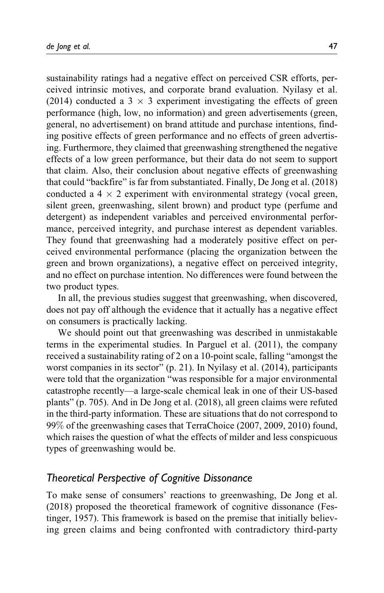sustainability ratings had a negative effect on perceived CSR efforts, perceived intrinsic motives, and corporate brand evaluation. Nyilasy et al. (2014) conducted a 3  $\times$  3 experiment investigating the effects of green performance (high, low, no information) and green advertisements (green, general, no advertisement) on brand attitude and purchase intentions, finding positive effects of green performance and no effects of green advertising. Furthermore, they claimed that greenwashing strengthened the negative effects of a low green performance, but their data do not seem to support that claim. Also, their conclusion about negative effects of greenwashing that could "backfire" is far from substantiated. Finally, De Jong et al. (2018) conducted a  $4 \times 2$  experiment with environmental strategy (vocal green, silent green, greenwashing, silent brown) and product type (perfume and detergent) as independent variables and perceived environmental performance, perceived integrity, and purchase interest as dependent variables. They found that greenwashing had a moderately positive effect on perceived environmental performance (placing the organization between the green and brown organizations), a negative effect on perceived integrity, and no effect on purchase intention. No differences were found between the two product types.

In all, the previous studies suggest that greenwashing, when discovered, does not pay off although the evidence that it actually has a negative effect on consumers is practically lacking.

We should point out that greenwashing was described in unmistakable terms in the experimental studies. In Parguel et al. (2011), the company received a sustainability rating of 2 on a 10-point scale, falling "amongst the worst companies in its sector" (p. 21). In Nyilasy et al. (2014), participants were told that the organization "was responsible for a major environmental catastrophe recently—a large-scale chemical leak in one of their US-based plants" (p. 705). And in De Jong et al. (2018), all green claims were refuted in the third-party information. These are situations that do not correspond to 99% of the greenwashing cases that TerraChoice (2007, 2009, 2010) found, which raises the question of what the effects of milder and less conspicuous types of greenwashing would be.

## Theoretical Perspective of Cognitive Dissonance

To make sense of consumers' reactions to greenwashing, De Jong et al. (2018) proposed the theoretical framework of cognitive dissonance (Festinger, 1957). This framework is based on the premise that initially believing green claims and being confronted with contradictory third-party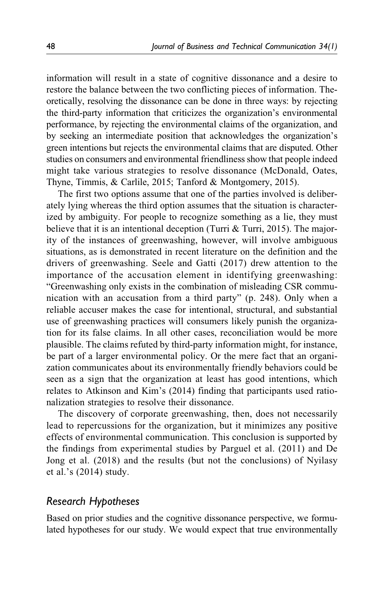information will result in a state of cognitive dissonance and a desire to restore the balance between the two conflicting pieces of information. Theoretically, resolving the dissonance can be done in three ways: by rejecting the third-party information that criticizes the organization's environmental performance, by rejecting the environmental claims of the organization, and by seeking an intermediate position that acknowledges the organization's green intentions but rejects the environmental claims that are disputed. Other studies on consumers and environmental friendliness show that people indeed might take various strategies to resolve dissonance (McDonald, Oates, Thyne, Timmis, & Carlile, 2015; Tanford & Montgomery, 2015).

The first two options assume that one of the parties involved is deliberately lying whereas the third option assumes that the situation is characterized by ambiguity. For people to recognize something as a lie, they must believe that it is an intentional deception (Turri & Turri, 2015). The majority of the instances of greenwashing, however, will involve ambiguous situations, as is demonstrated in recent literature on the definition and the drivers of greenwashing. Seele and Gatti (2017) drew attention to the importance of the accusation element in identifying greenwashing: "Greenwashing only exists in the combination of misleading CSR communication with an accusation from a third party" (p. 248). Only when a reliable accuser makes the case for intentional, structural, and substantial use of greenwashing practices will consumers likely punish the organization for its false claims. In all other cases, reconciliation would be more plausible. The claims refuted by third-party information might, for instance, be part of a larger environmental policy. Or the mere fact that an organization communicates about its environmentally friendly behaviors could be seen as a sign that the organization at least has good intentions, which relates to Atkinson and Kim's (2014) finding that participants used rationalization strategies to resolve their dissonance.

The discovery of corporate greenwashing, then, does not necessarily lead to repercussions for the organization, but it minimizes any positive effects of environmental communication. This conclusion is supported by the findings from experimental studies by Parguel et al. (2011) and De Jong et al. (2018) and the results (but not the conclusions) of Nyilasy et al.'s (2014) study.

### Research Hypotheses

Based on prior studies and the cognitive dissonance perspective, we formulated hypotheses for our study. We would expect that true environmentally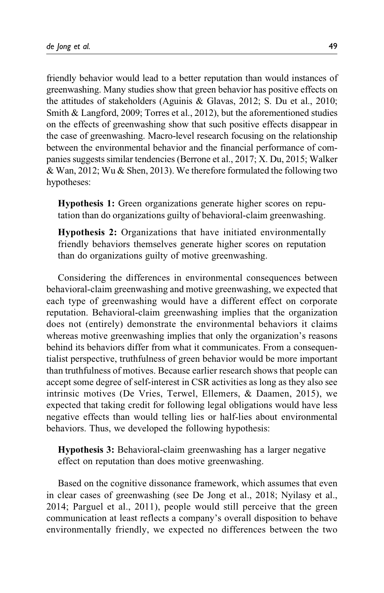friendly behavior would lead to a better reputation than would instances of greenwashing. Many studies show that green behavior has positive effects on the attitudes of stakeholders (Aguinis & Glavas, 2012; S. Du et al., 2010; Smith & Langford, 2009; Torres et al., 2012), but the aforementioned studies on the effects of greenwashing show that such positive effects disappear in the case of greenwashing. Macro-level research focusing on the relationship between the environmental behavior and the financial performance of companies suggests similar tendencies (Berrone et al., 2017; X. Du, 2015; Walker & Wan, 2012; Wu & Shen, 2013). We therefore formulated the following two hypotheses:

Hypothesis 1: Green organizations generate higher scores on reputation than do organizations guilty of behavioral-claim greenwashing.

Hypothesis 2: Organizations that have initiated environmentally friendly behaviors themselves generate higher scores on reputation than do organizations guilty of motive greenwashing.

Considering the differences in environmental consequences between behavioral-claim greenwashing and motive greenwashing, we expected that each type of greenwashing would have a different effect on corporate reputation. Behavioral-claim greenwashing implies that the organization does not (entirely) demonstrate the environmental behaviors it claims whereas motive greenwashing implies that only the organization's reasons behind its behaviors differ from what it communicates. From a consequentialist perspective, truthfulness of green behavior would be more important than truthfulness of motives. Because earlier research shows that people can accept some degree of self-interest in CSR activities as long as they also see intrinsic motives (De Vries, Terwel, Ellemers, & Daamen, 2015), we expected that taking credit for following legal obligations would have less negative effects than would telling lies or half-lies about environmental behaviors. Thus, we developed the following hypothesis:

Hypothesis 3: Behavioral-claim greenwashing has a larger negative effect on reputation than does motive greenwashing.

Based on the cognitive dissonance framework, which assumes that even in clear cases of greenwashing (see De Jong et al., 2018; Nyilasy et al., 2014; Parguel et al., 2011), people would still perceive that the green communication at least reflects a company's overall disposition to behave environmentally friendly, we expected no differences between the two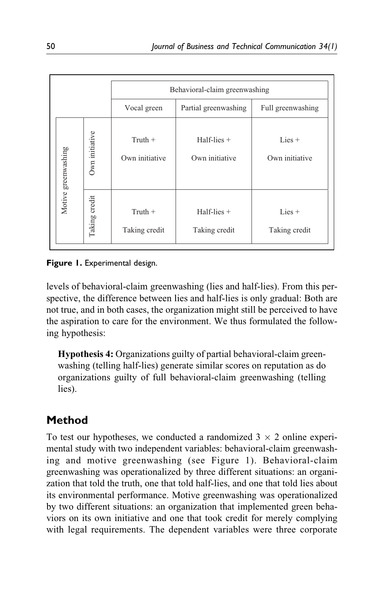|                     |                | Behavioral-claim greenwashing                            |                                 |                            |  |  |
|---------------------|----------------|----------------------------------------------------------|---------------------------------|----------------------------|--|--|
|                     |                | Vocal green<br>Partial greenwashing<br>Full greenwashing |                                 |                            |  |  |
| Motive greenwashing | Own initiative | $Truth +$<br>Own initiative                              | $Half-lies +$<br>Own initiative | $Lies +$<br>Own initiative |  |  |
|                     | Taking credit  | $T$ ruth +<br>Taking credit                              | $Half-lies +$<br>Taking credit  | $Lies +$<br>Taking credit  |  |  |

Figure 1. Experimental design.

levels of behavioral-claim greenwashing (lies and half-lies). From this perspective, the difference between lies and half-lies is only gradual: Both are not true, and in both cases, the organization might still be perceived to have the aspiration to care for the environment. We thus formulated the following hypothesis:

Hypothesis 4: Organizations guilty of partial behavioral-claim greenwashing (telling half-lies) generate similar scores on reputation as do organizations guilty of full behavioral-claim greenwashing (telling lies).

# Method

To test our hypotheses, we conducted a randomized  $3 \times 2$  online experimental study with two independent variables: behavioral-claim greenwashing and motive greenwashing (see Figure 1). Behavioral-claim greenwashing was operationalized by three different situations: an organization that told the truth, one that told half-lies, and one that told lies about its environmental performance. Motive greenwashing was operationalized by two different situations: an organization that implemented green behaviors on its own initiative and one that took credit for merely complying with legal requirements. The dependent variables were three corporate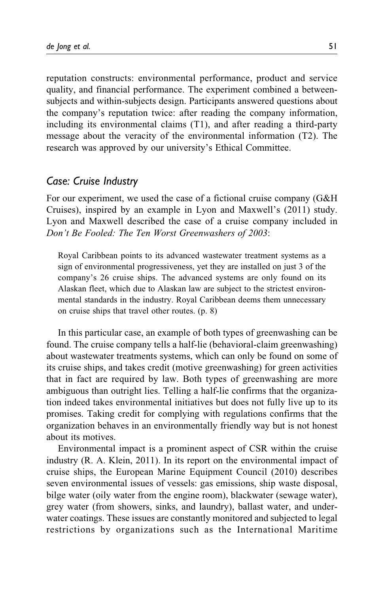reputation constructs: environmental performance, product and service quality, and financial performance. The experiment combined a betweensubjects and within-subjects design. Participants answered questions about the company's reputation twice: after reading the company information, including its environmental claims (T1), and after reading a third-party message about the veracity of the environmental information (T2). The research was approved by our university's Ethical Committee.

#### Case: Cruise Industry

For our experiment, we used the case of a fictional cruise company (G&H Cruises), inspired by an example in Lyon and Maxwell's (2011) study. Lyon and Maxwell described the case of a cruise company included in Don't Be Fooled: The Ten Worst Greenwashers of 2003:

Royal Caribbean points to its advanced wastewater treatment systems as a sign of environmental progressiveness, yet they are installed on just 3 of the company's 26 cruise ships. The advanced systems are only found on its Alaskan fleet, which due to Alaskan law are subject to the strictest environmental standards in the industry. Royal Caribbean deems them unnecessary on cruise ships that travel other routes. (p. 8)

In this particular case, an example of both types of greenwashing can be found. The cruise company tells a half-lie (behavioral-claim greenwashing) about wastewater treatments systems, which can only be found on some of its cruise ships, and takes credit (motive greenwashing) for green activities that in fact are required by law. Both types of greenwashing are more ambiguous than outright lies. Telling a half-lie confirms that the organization indeed takes environmental initiatives but does not fully live up to its promises. Taking credit for complying with regulations confirms that the organization behaves in an environmentally friendly way but is not honest about its motives.

Environmental impact is a prominent aspect of CSR within the cruise industry (R. A. Klein, 2011). In its report on the environmental impact of cruise ships, the European Marine Equipment Council (2010) describes seven environmental issues of vessels: gas emissions, ship waste disposal, bilge water (oily water from the engine room), blackwater (sewage water), grey water (from showers, sinks, and laundry), ballast water, and underwater coatings. These issues are constantly monitored and subjected to legal restrictions by organizations such as the International Maritime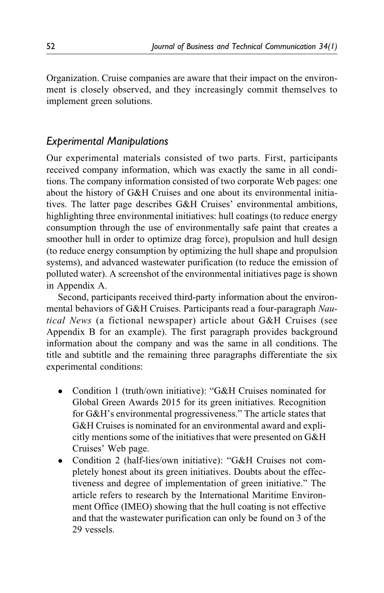Organization. Cruise companies are aware that their impact on the environment is closely observed, and they increasingly commit themselves to implement green solutions.

## Experimental Manipulations

Our experimental materials consisted of two parts. First, participants received company information, which was exactly the same in all conditions. The company information consisted of two corporate Web pages: one about the history of G&H Cruises and one about its environmental initiatives. The latter page describes G&H Cruises' environmental ambitions, highlighting three environmental initiatives: hull coatings (to reduce energy consumption through the use of environmentally safe paint that creates a smoother hull in order to optimize drag force), propulsion and hull design (to reduce energy consumption by optimizing the hull shape and propulsion systems), and advanced wastewater purification (to reduce the emission of polluted water). A screenshot of the environmental initiatives page is shown in Appendix A.

Second, participants received third-party information about the environmental behaviors of G&H Cruises. Participants read a four-paragraph Nautical News (a fictional newspaper) article about G&H Cruises (see Appendix B for an example). The first paragraph provides background information about the company and was the same in all conditions. The title and subtitle and the remaining three paragraphs differentiate the six experimental conditions:

- Condition 1 (truth/own initiative): "G&H Cruises nominated for Global Green Awards 2015 for its green initiatives. Recognition for G&H's environmental progressiveness." The article states that G&H Cruises is nominated for an environmental award and explicitly mentions some of the initiatives that were presented on G&H Cruises' Web page.
- Condition 2 (half-lies/own initiative): "G&H Cruises not completely honest about its green initiatives. Doubts about the effectiveness and degree of implementation of green initiative." The article refers to research by the International Maritime Environment Office (IMEO) showing that the hull coating is not effective and that the wastewater purification can only be found on 3 of the 29 vessels.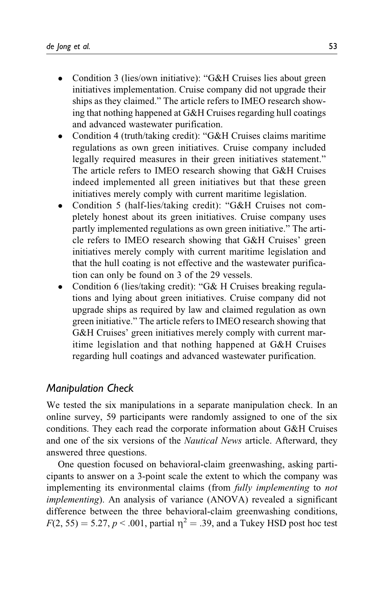- Condition 3 (lies/own initiative): "G&H Cruises lies about green initiatives implementation. Cruise company did not upgrade their ships as they claimed." The article refers to IMEO research showing that nothing happened at G&H Cruises regarding hull coatings and advanced wastewater purification.
- Condition 4 (truth/taking credit): "G&H Cruises claims maritime regulations as own green initiatives. Cruise company included legally required measures in their green initiatives statement." The article refers to IMEO research showing that G&H Cruises indeed implemented all green initiatives but that these green initiatives merely comply with current maritime legislation.
- Condition 5 (half-lies/taking credit): "G&H Cruises not completely honest about its green initiatives. Cruise company uses partly implemented regulations as own green initiative." The article refers to IMEO research showing that G&H Cruises' green initiatives merely comply with current maritime legislation and that the hull coating is not effective and the wastewater purification can only be found on 3 of the 29 vessels.
- Condition 6 (lies/taking credit): "G& H Cruises breaking regulations and lying about green initiatives. Cruise company did not upgrade ships as required by law and claimed regulation as own green initiative." The article refers to IMEO research showing that G&H Cruises' green initiatives merely comply with current maritime legislation and that nothing happened at G&H Cruises regarding hull coatings and advanced wastewater purification.

# Manipulation Check

We tested the six manipulations in a separate manipulation check. In an online survey, 59 participants were randomly assigned to one of the six conditions. They each read the corporate information about G&H Cruises and one of the six versions of the Nautical News article. Afterward, they answered three questions.

One question focused on behavioral-claim greenwashing, asking participants to answer on a 3-point scale the extent to which the company was implementing its environmental claims (from *fully implementing* to *not* implementing). An analysis of variance (ANOVA) revealed a significant difference between the three behavioral-claim greenwashing conditions,  $F(2, 55) = 5.27, p < .001$ , partial  $\eta^2 = .39$ , and a Tukey HSD post hoc test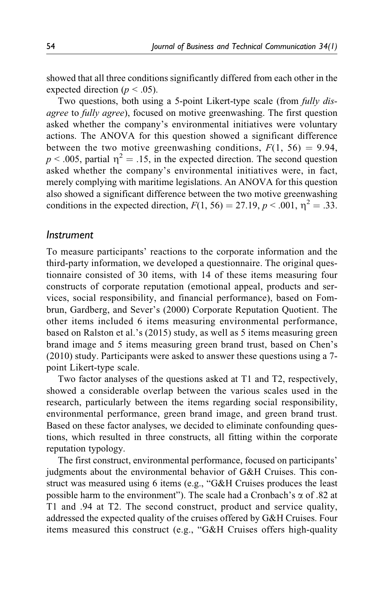showed that all three conditions significantly differed from each other in the expected direction ( $p < .05$ ).

Two questions, both using a 5-point Likert-type scale (from *fully dis*agree to fully agree), focused on motive greenwashing. The first question asked whether the company's environmental initiatives were voluntary actions. The ANOVA for this question showed a significant difference between the two motive greenwashing conditions,  $F(1, 56) = 9.94$ ,  $p < .005$ , partial  $\eta^2 = .15$ , in the expected direction. The second question asked whether the company's environmental initiatives were, in fact, merely complying with maritime legislations. An ANOVA for this question also showed a significant difference between the two motive greenwashing conditions in the expected direction,  $F(1, 56) = 27.19$ ,  $p < .001$ ,  $p^2 = .33$ .

#### Instrument

To measure participants' reactions to the corporate information and the third-party information, we developed a questionnaire. The original questionnaire consisted of 30 items, with 14 of these items measuring four constructs of corporate reputation (emotional appeal, products and services, social responsibility, and financial performance), based on Fombrun, Gardberg, and Sever's (2000) Corporate Reputation Quotient. The other items included 6 items measuring environmental performance, based on Ralston et al.'s (2015) study, as well as 5 items measuring green brand image and 5 items measuring green brand trust, based on Chen's (2010) study. Participants were asked to answer these questions using a 7 point Likert-type scale.

Two factor analyses of the questions asked at T1 and T2, respectively, showed a considerable overlap between the various scales used in the research, particularly between the items regarding social responsibility, environmental performance, green brand image, and green brand trust. Based on these factor analyses, we decided to eliminate confounding questions, which resulted in three constructs, all fitting within the corporate reputation typology.

The first construct, environmental performance, focused on participants' judgments about the environmental behavior of G&H Cruises. This construct was measured using 6 items (e.g., "G&H Cruises produces the least possible harm to the environment"). The scale had a Cronbach's  $\alpha$  of .82 at T1 and .94 at T2. The second construct, product and service quality, addressed the expected quality of the cruises offered by G&H Cruises. Four items measured this construct (e.g., "G&H Cruises offers high-quality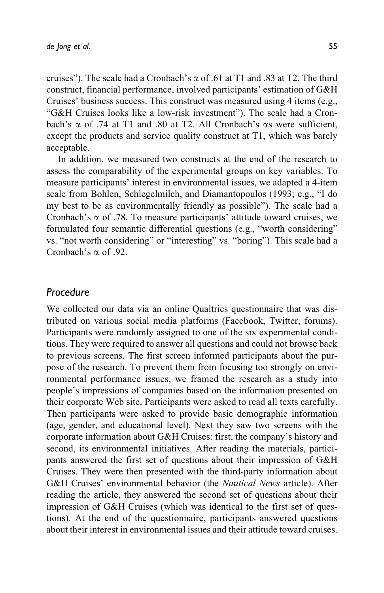cruises"). The scale had a Cronbach's  $\alpha$  of .61 at T1 and .83 at T2. The third construct, financial performance, involved participants' estimation of G&H Cruises' business success. This construct was measured using 4 items (e.g., "G&H Cruises looks like a low-risk investment"). The scale had a Cronbach's  $\alpha$  of .74 at T1 and .80 at T2. All Cronbach's  $\alpha$ s were sufficient, except the products and service quality construct at T1, which was barely acceptable.

In addition, we measured two constructs at the end of the research to assess the comparability of the experimental groups on key variables. To measure participants' interest in environmental issues, we adapted a 4-item scale from Bohlen, Schlegelmilch, and Diamantopoulos (1993; e.g., "I do my best to be as environmentally friendly as possible"). The scale had a Cronbach's  $\alpha$  of .78. To measure participants' attitude toward cruises, we formulated four semantic differential questions (e.g., "worth considering" vs. "not worth considering" or "interesting" vs. "boring"). This scale had a Cronbach's  $\alpha$  of 92.

### Procedure

We collected our data via an online Qualtrics questionnaire that was distributed on various social media platforms (Facebook, Twitter, forums). Participants were randomly assigned to one of the six experimental conditions. They were required to answer all questions and could not browse back to previous screens. The first screen informed participants about the purpose of the research. To prevent them from focusing too strongly on environmental performance issues, we framed the research as a study into people's impressions of companies based on the information presented on their corporate Web site. Participants were asked to read all texts carefully. Then participants were asked to provide basic demographic information (age, gender, and educational level). Next they saw two screens with the corporate information about G&H Cruises: first, the company's history and second, its environmental initiatives. After reading the materials, participants answered the first set of questions about their impression of G&H Cruises. They were then presented with the third-party information about G&H Cruises' environmental behavior (the Nautical News article). After reading the article, they answered the second set of questions about their impression of G&H Cruises (which was identical to the first set of questions). At the end of the questionnaire, participants answered questions about their interest in environmental issues and their attitude toward cruises.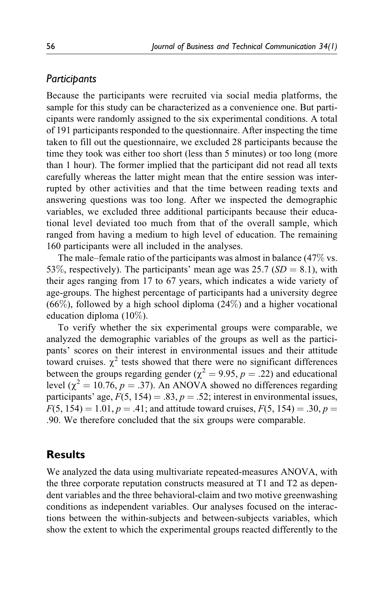### Participants

Because the participants were recruited via social media platforms, the sample for this study can be characterized as a convenience one. But participants were randomly assigned to the six experimental conditions. A total of 191 participants responded to the questionnaire. After inspecting the time taken to fill out the questionnaire, we excluded 28 participants because the time they took was either too short (less than 5 minutes) or too long (more than 1 hour). The former implied that the participant did not read all texts carefully whereas the latter might mean that the entire session was interrupted by other activities and that the time between reading texts and answering questions was too long. After we inspected the demographic variables, we excluded three additional participants because their educational level deviated too much from that of the overall sample, which ranged from having a medium to high level of education. The remaining 160 participants were all included in the analyses.

The male–female ratio of the participants was almost in balance (47% vs. 53\%, respectively). The participants' mean age was 25.7 ( $SD = 8.1$ ), with their ages ranging from 17 to 67 years, which indicates a wide variety of age-groups. The highest percentage of participants had a university degree  $(66\%)$ , followed by a high school diploma  $(24\%)$  and a higher vocational education diploma (10%).

To verify whether the six experimental groups were comparable, we analyzed the demographic variables of the groups as well as the participants' scores on their interest in environmental issues and their attitude toward cruises.  $\chi^2$  tests showed that there were no significant differences between the groups regarding gender ( $\chi^2 = 9.95$ ,  $p = .22$ ) and educational level ( $\chi^2$  = 10.76, p = .37). An ANOVA showed no differences regarding participants' age,  $F(5, 154) = .83$ ,  $p = .52$ ; interest in environmental issues,  $F(5, 154) = 1.01, p = .41$ ; and attitude toward cruises,  $F(5, 154) = .30, p =$ .90. We therefore concluded that the six groups were comparable.

## **Results**

We analyzed the data using multivariate repeated-measures ANOVA, with the three corporate reputation constructs measured at T1 and T2 as dependent variables and the three behavioral-claim and two motive greenwashing conditions as independent variables. Our analyses focused on the interactions between the within-subjects and between-subjects variables, which show the extent to which the experimental groups reacted differently to the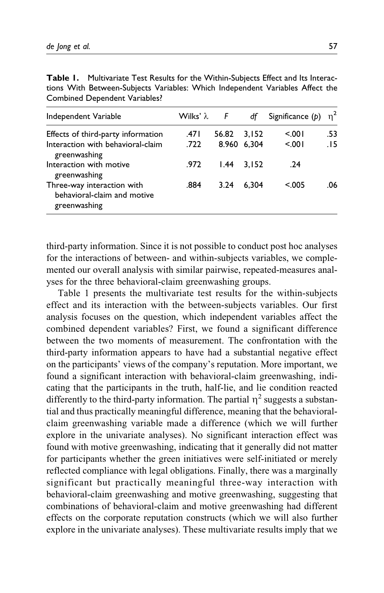| Independent Variable                                                      | Wilks' $\lambda$ | F     | df          | Significance $(p)$ | $n^2$ |
|---------------------------------------------------------------------------|------------------|-------|-------------|--------------------|-------|
| Effects of third-party information                                        | .471             | 56.82 | 3.152       | < 001              | .53   |
| Interaction with behavioral-claim<br>greenwashing                         | .722             |       | 8.960 6.304 | 5.001              | .15   |
| Interaction with motive<br>greenwashing                                   | .972             | 1.44  | 3.152       | .24                |       |
| Three-way interaction with<br>behavioral-claim and motive<br>greenwashing | .884             | 3.24  | 6.304       | < 0.005            | .06   |

| <b>Table 1.</b> Multivariate Test Results for the Within-Subjects Effect and Its Interac- |
|-------------------------------------------------------------------------------------------|
| tions With Between-Subjects Variables: Which Independent Variables Affect the             |
| Combined Dependent Variables?                                                             |

third-party information. Since it is not possible to conduct post hoc analyses for the interactions of between- and within-subjects variables, we complemented our overall analysis with similar pairwise, repeated-measures analyses for the three behavioral-claim greenwashing groups.

Table 1 presents the multivariate test results for the within-subjects effect and its interaction with the between-subjects variables. Our first analysis focuses on the question, which independent variables affect the combined dependent variables? First, we found a significant difference between the two moments of measurement. The confrontation with the third-party information appears to have had a substantial negative effect on the participants' views of the company's reputation. More important, we found a significant interaction with behavioral-claim greenwashing, indicating that the participants in the truth, half-lie, and lie condition reacted differently to the third-party information. The partial  $\eta^2$  suggests a substantial and thus practically meaningful difference, meaning that the behavioralclaim greenwashing variable made a difference (which we will further explore in the univariate analyses). No significant interaction effect was found with motive greenwashing, indicating that it generally did not matter for participants whether the green initiatives were self-initiated or merely reflected compliance with legal obligations. Finally, there was a marginally significant but practically meaningful three-way interaction with behavioral-claim greenwashing and motive greenwashing, suggesting that combinations of behavioral-claim and motive greenwashing had different effects on the corporate reputation constructs (which we will also further explore in the univariate analyses). These multivariate results imply that we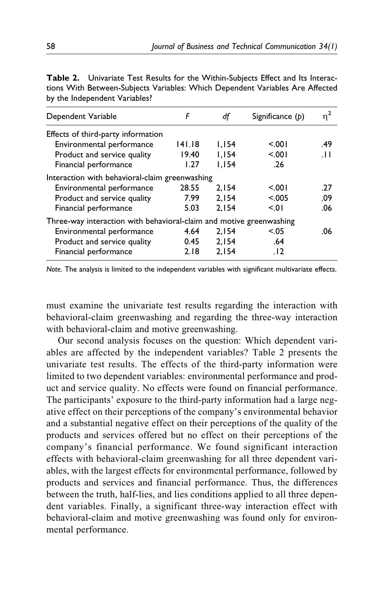| Dependent Variable                                                  | F      | df    | Significance $(p)$ | $n^2$ |
|---------------------------------------------------------------------|--------|-------|--------------------|-------|
| Effects of third-party information                                  |        |       |                    |       |
| Environmental performance                                           | 141.18 | 1.154 | < 001              | .49   |
| Product and service quality                                         | 19.40  | 1.154 | 5.001              | .H    |
| Financial performance                                               | 1.27   | 1,154 | .26                |       |
| Interaction with behavioral-claim greenwashing                      |        |       |                    |       |
| Environmental performance                                           | 28.55  | 2.154 | < 001              | .27   |
| Product and service quality                                         | 7.99   | 2.154 | < 0.005            | .09   |
| Financial performance                                               | 5.03   | 2.154 | 501                | .06   |
| Three-way interaction with behavioral-claim and motive greenwashing |        |       |                    |       |
| Environmental performance                                           | 4.64   | 2,154 | < 0.05             | .06   |
| Product and service quality                                         | 0.45   | 2.154 | .64                |       |
| Financial performance                                               | 2.18   | 2.154 | .12                |       |
|                                                                     |        |       |                    |       |

Table 2. Univariate Test Results for the Within-Subjects Effect and Its Interactions With Between-Subjects Variables: Which Dependent Variables Are Affected by the Independent Variables?

Note. The analysis is limited to the independent variables with significant multivariate effects.

must examine the univariate test results regarding the interaction with behavioral-claim greenwashing and regarding the three-way interaction with behavioral-claim and motive greenwashing.

Our second analysis focuses on the question: Which dependent variables are affected by the independent variables? Table 2 presents the univariate test results. The effects of the third-party information were limited to two dependent variables: environmental performance and product and service quality. No effects were found on financial performance. The participants' exposure to the third-party information had a large negative effect on their perceptions of the company's environmental behavior and a substantial negative effect on their perceptions of the quality of the products and services offered but no effect on their perceptions of the company's financial performance. We found significant interaction effects with behavioral-claim greenwashing for all three dependent variables, with the largest effects for environmental performance, followed by products and services and financial performance. Thus, the differences between the truth, half-lies, and lies conditions applied to all three dependent variables. Finally, a significant three-way interaction effect with behavioral-claim and motive greenwashing was found only for environmental performance.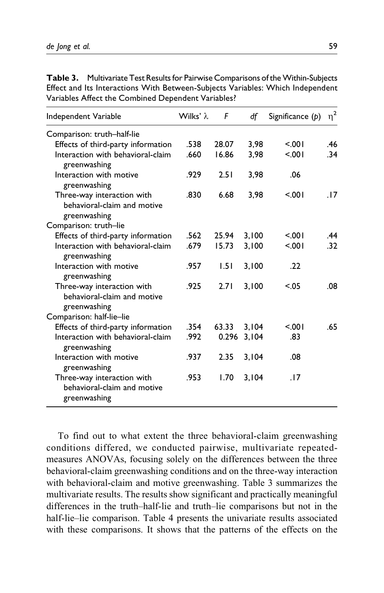| Independent Variable                                                      | Wilks' $\lambda$ | F     | df    | Significance $(p)$ | $\eta^2$ |
|---------------------------------------------------------------------------|------------------|-------|-------|--------------------|----------|
| Comparison: truth-half-lie                                                |                  |       |       |                    |          |
| Effects of third-party information                                        | .538             | 28.07 | 3,98  | 5.001              | .46      |
| Interaction with behavioral-claim<br>greenwashing                         | .660             | 16.86 | 3,98  | 5.001              | .34      |
| Interaction with motive<br>greenwashing                                   | .929             | 2.51  | 3,98  | .06                |          |
| Three-way interaction with<br>behavioral-claim and motive<br>greenwashing | .830             | 6.68  | 3,98  | 5.001              | .17      |
| Comparison: truth-lie                                                     |                  |       |       |                    |          |
| Effects of third-party information                                        | .562             | 25.94 | 3,100 | < 001              | .44      |
| Interaction with behavioral-claim<br>greenwashing                         | .679             | 15.73 | 3,100 | 5.001              | .32      |
| Interaction with motive<br>greenwashing                                   | .957             | 1.51  | 3,100 | .22                |          |
| Three-way interaction with<br>behavioral-claim and motive<br>greenwashing | .925             | 2.71  | 3,100 | < 0.05             | .08      |
| Comparison: half-lie-lie                                                  |                  |       |       |                    |          |
| Effects of third-party information                                        | .354             | 63.33 | 3.104 | 5.001              | .65      |
| Interaction with behavioral-claim<br>greenwashing                         | .992             | 0.296 | 3,104 | .83                |          |
| Interaction with motive<br>greenwashing                                   | .937             | 2.35  | 3,104 | .08                |          |
| Three-way interaction with<br>behavioral-claim and motive<br>greenwashing | .953             | 1.70  | 3,104 | .17                |          |

**Table 3.** Multivariate Test Results for Pairwise Comparisons of the Within-Subjects Effect and Its Interactions With Between-Subjects Variables: Which Independent Variables Affect the Combined Dependent Variables?

To find out to what extent the three behavioral-claim greenwashing conditions differed, we conducted pairwise, multivariate repeatedmeasures ANOVAs, focusing solely on the differences between the three behavioral-claim greenwashing conditions and on the three-way interaction with behavioral-claim and motive greenwashing. Table 3 summarizes the multivariate results. The results show significant and practically meaningful differences in the truth–half-lie and truth–lie comparisons but not in the half-lie–lie comparison. Table 4 presents the univariate results associated with these comparisons. It shows that the patterns of the effects on the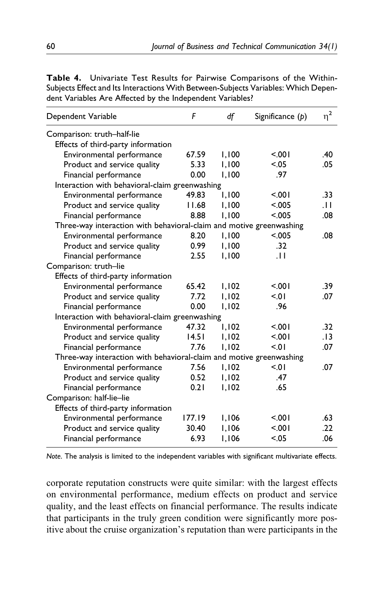| Dependent Variable                                                  | F      | df    | Significance $(p)$ | $\eta^2$ |
|---------------------------------------------------------------------|--------|-------|--------------------|----------|
| Comparison: truth-half-lie                                          |        |       |                    |          |
| Effects of third-party information                                  |        |       |                    |          |
| Environmental performance                                           | 67.59  | 1.100 | < 0.01             | .40      |
| Product and service quality                                         | 5.33   | 1.100 | < .05              | .05      |
| Financial performance                                               | 0.00   | 1,100 | .97                |          |
| Interaction with behavioral-claim greenwashing                      |        |       |                    |          |
| Environmental performance                                           | 49.83  | 1,100 | 5.001              | .33      |
| Product and service quality                                         | 11.68  | 1,100 | < 0.005            | .H       |
| Financial performance                                               | 8.88   | 1.100 | < .005             | .08      |
| Three-way interaction with behavioral-claim and motive greenwashing |        |       |                    |          |
| Environmental performance                                           | 8.20   | 1,100 | < 0.005            | .08      |
| Product and service quality                                         | 0.99   | 1,100 | .32                |          |
| Financial performance                                               | 2.55   | 1,100 | .H                 |          |
| Comparison: truth-lie                                               |        |       |                    |          |
| Effects of third-party information                                  |        |       |                    |          |
| Environmental performance                                           | 65.42  | 1,102 | < 0.01             | .39      |
| Product and service quality                                         | 7.72   | 1.102 | 5.01               | .07      |
| Financial performance                                               | 0.00   | 1.102 | .96                |          |
| Interaction with behavioral-claim greenwashing                      |        |       |                    |          |
| Environmental performance                                           | 47.32  | 1.102 | 5.001              | .32      |
| Product and service quality                                         | 14.51  | 1,102 | < 0.01             | .13      |
| Financial performance                                               | 7.76   | 1.102 | 5.01               | .07      |
| Three-way interaction with behavioral-claim and motive greenwashing |        |       |                    |          |
| Environmental performance                                           | 7.56   | 1,102 | 5.01               | .07      |
| Product and service quality                                         | 0.52   | 1,102 | .47                |          |
| Financial performance                                               | 0.21   | 1,102 | .65                |          |
| Comparison: half-lie-lie                                            |        |       |                    |          |
| Effects of third-party information                                  |        |       |                    |          |
| Environmental performance                                           | 177.19 | 1,106 | 5.001              | .63      |
| Product and service quality                                         | 30.40  | 1,106 | 5.001              | .22      |
| Financial performance                                               | 6.93   | 1,106 | < 0.05             | .06      |

Table 4. Univariate Test Results for Pairwise Comparisons of the Within-Subjects Effect and Its Interactions With Between-Subjects Variables: Which Dependent Variables Are Affected by the Independent Variables?

Note. The analysis is limited to the independent variables with significant multivariate effects.

corporate reputation constructs were quite similar: with the largest effects on environmental performance, medium effects on product and service quality, and the least effects on financial performance. The results indicate that participants in the truly green condition were significantly more positive about the cruise organization's reputation than were participants in the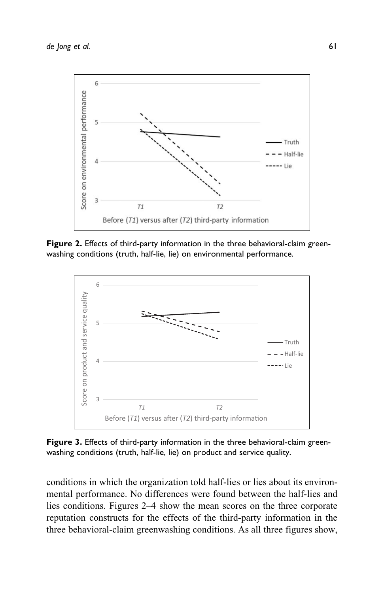

Figure 2. Effects of third-party information in the three behavioral-claim greenwashing conditions (truth, half-lie, lie) on environmental performance.



Figure 3. Effects of third-party information in the three behavioral-claim greenwashing conditions (truth, half-lie, lie) on product and service quality.

conditions in which the organization told half-lies or lies about its environmental performance. No differences were found between the half-lies and lies conditions. Figures 2–4 show the mean scores on the three corporate reputation constructs for the effects of the third-party information in the three behavioral-claim greenwashing conditions. As all three figures show,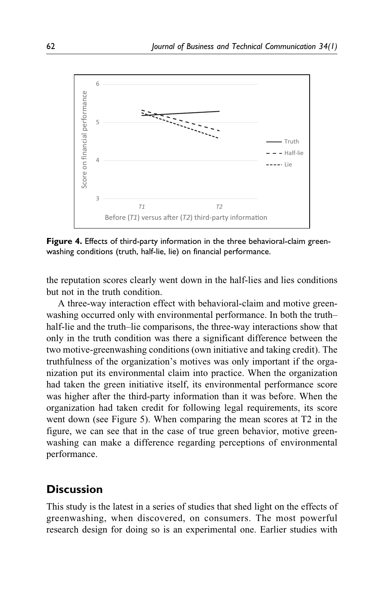

Figure 4. Effects of third-party information in the three behavioral-claim greenwashing conditions (truth, half-lie, lie) on financial performance.

the reputation scores clearly went down in the half-lies and lies conditions but not in the truth condition.

A three-way interaction effect with behavioral-claim and motive greenwashing occurred only with environmental performance. In both the truth– half-lie and the truth–lie comparisons, the three-way interactions show that only in the truth condition was there a significant difference between the two motive-greenwashing conditions (own initiative and taking credit). The truthfulness of the organization's motives was only important if the organization put its environmental claim into practice. When the organization had taken the green initiative itself, its environmental performance score was higher after the third-party information than it was before. When the organization had taken credit for following legal requirements, its score went down (see Figure 5). When comparing the mean scores at T2 in the figure, we can see that in the case of true green behavior, motive greenwashing can make a difference regarding perceptions of environmental performance.

### **Discussion**

This study is the latest in a series of studies that shed light on the effects of greenwashing, when discovered, on consumers. The most powerful research design for doing so is an experimental one. Earlier studies with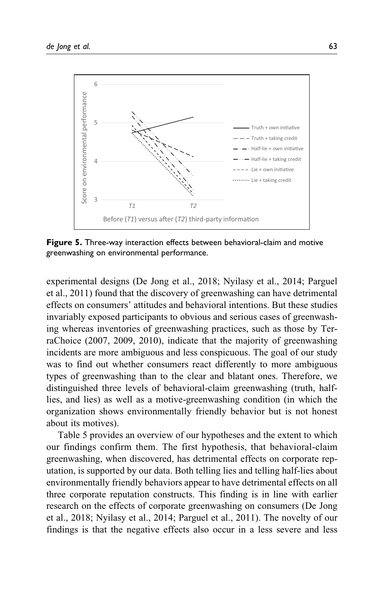

Figure 5. Three-way interaction effects between behavioral-claim and motive greenwashing on environmental performance.

experimental designs (De Jong et al., 2018; Nyilasy et al., 2014; Parguel et al., 2011) found that the discovery of greenwashing can have detrimental effects on consumers' attitudes and behavioral intentions. But these studies invariably exposed participants to obvious and serious cases of greenwashing whereas inventories of greenwashing practices, such as those by TerraChoice (2007, 2009, 2010), indicate that the majority of greenwashing incidents are more ambiguous and less conspicuous. The goal of our study was to find out whether consumers react differently to more ambiguous types of greenwashing than to the clear and blatant ones. Therefore, we distinguished three levels of behavioral-claim greenwashing (truth, halflies, and lies) as well as a motive-greenwashing condition (in which the organization shows environmentally friendly behavior but is not honest about its motives).

Table 5 provides an overview of our hypotheses and the extent to which our findings confirm them. The first hypothesis, that behavioral-claim greenwashing, when discovered, has detrimental effects on corporate reputation, is supported by our data. Both telling lies and telling half-lies about environmentally friendly behaviors appear to have detrimental effects on all three corporate reputation constructs. This finding is in line with earlier research on the effects of corporate greenwashing on consumers (De Jong et al., 2018; Nyilasy et al., 2014; Parguel et al., 2011). The novelty of our findings is that the negative effects also occur in a less severe and less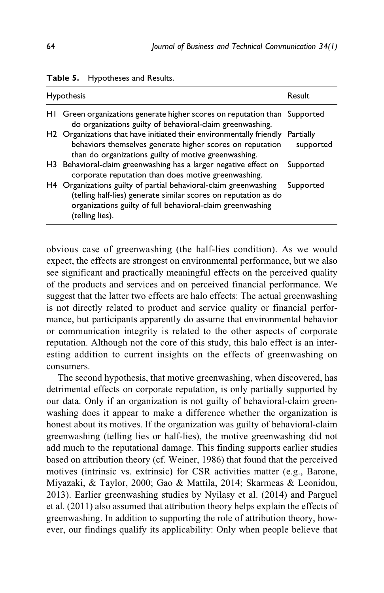| <b>Hypothesis</b>                                                                                                                                                                                                    | Result                 |
|----------------------------------------------------------------------------------------------------------------------------------------------------------------------------------------------------------------------|------------------------|
| HI Green organizations generate higher scores on reputation than Supported<br>do organizations guilty of behavioral-claim greenwashing.                                                                              |                        |
| H2 Organizations that have initiated their environmentally friendly<br>behaviors themselves generate higher scores on reputation<br>than do organizations guilty of motive greenwashing.                             | Partially<br>supported |
| H3 Behavioral-claim greenwashing has a larger negative effect on<br>corporate reputation than does motive greenwashing.                                                                                              | Supported              |
| H4 Organizations guilty of partial behavioral-claim greenwashing<br>(telling half-lies) generate similar scores on reputation as do<br>organizations guilty of full behavioral-claim greenwashing<br>(telling lies). | Supported              |

#### Table 5. Hypotheses and Results.

obvious case of greenwashing (the half-lies condition). As we would expect, the effects are strongest on environmental performance, but we also see significant and practically meaningful effects on the perceived quality of the products and services and on perceived financial performance. We suggest that the latter two effects are halo effects: The actual greenwashing is not directly related to product and service quality or financial performance, but participants apparently do assume that environmental behavior or communication integrity is related to the other aspects of corporate reputation. Although not the core of this study, this halo effect is an interesting addition to current insights on the effects of greenwashing on consumers.

The second hypothesis, that motive greenwashing, when discovered, has detrimental effects on corporate reputation, is only partially supported by our data. Only if an organization is not guilty of behavioral-claim greenwashing does it appear to make a difference whether the organization is honest about its motives. If the organization was guilty of behavioral-claim greenwashing (telling lies or half-lies), the motive greenwashing did not add much to the reputational damage. This finding supports earlier studies based on attribution theory (cf. Weiner, 1986) that found that the perceived motives (intrinsic vs. extrinsic) for CSR activities matter (e.g., Barone, Miyazaki, & Taylor, 2000; Gao & Mattila, 2014; Skarmeas & Leonidou, 2013). Earlier greenwashing studies by Nyilasy et al. (2014) and Parguel et al. (2011) also assumed that attribution theory helps explain the effects of greenwashing. In addition to supporting the role of attribution theory, however, our findings qualify its applicability: Only when people believe that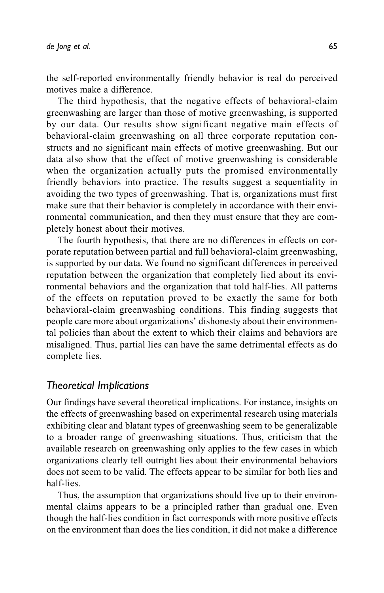the self-reported environmentally friendly behavior is real do perceived motives make a difference.

The third hypothesis, that the negative effects of behavioral-claim greenwashing are larger than those of motive greenwashing, is supported by our data. Our results show significant negative main effects of behavioral-claim greenwashing on all three corporate reputation constructs and no significant main effects of motive greenwashing. But our data also show that the effect of motive greenwashing is considerable when the organization actually puts the promised environmentally friendly behaviors into practice. The results suggest a sequentiality in avoiding the two types of greenwashing. That is, organizations must first make sure that their behavior is completely in accordance with their environmental communication, and then they must ensure that they are completely honest about their motives.

The fourth hypothesis, that there are no differences in effects on corporate reputation between partial and full behavioral-claim greenwashing, is supported by our data. We found no significant differences in perceived reputation between the organization that completely lied about its environmental behaviors and the organization that told half-lies. All patterns of the effects on reputation proved to be exactly the same for both behavioral-claim greenwashing conditions. This finding suggests that people care more about organizations' dishonesty about their environmental policies than about the extent to which their claims and behaviors are misaligned. Thus, partial lies can have the same detrimental effects as do complete lies.

# Theoretical Implications

Our findings have several theoretical implications. For instance, insights on the effects of greenwashing based on experimental research using materials exhibiting clear and blatant types of greenwashing seem to be generalizable to a broader range of greenwashing situations. Thus, criticism that the available research on greenwashing only applies to the few cases in which organizations clearly tell outright lies about their environmental behaviors does not seem to be valid. The effects appear to be similar for both lies and half-lies.

Thus, the assumption that organizations should live up to their environmental claims appears to be a principled rather than gradual one. Even though the half-lies condition in fact corresponds with more positive effects on the environment than does the lies condition, it did not make a difference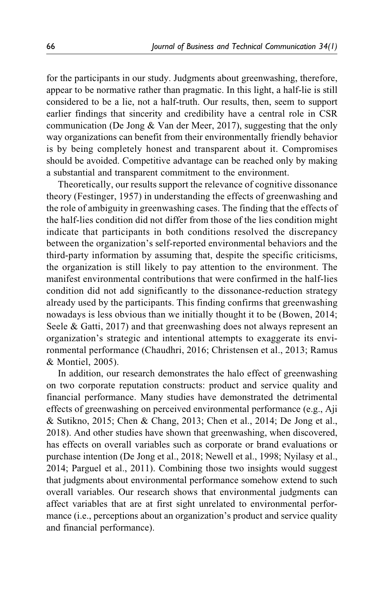for the participants in our study. Judgments about greenwashing, therefore, appear to be normative rather than pragmatic. In this light, a half-lie is still considered to be a lie, not a half-truth. Our results, then, seem to support earlier findings that sincerity and credibility have a central role in CSR communication (De Jong & Van der Meer, 2017), suggesting that the only way organizations can benefit from their environmentally friendly behavior is by being completely honest and transparent about it. Compromises should be avoided. Competitive advantage can be reached only by making a substantial and transparent commitment to the environment.

Theoretically, our results support the relevance of cognitive dissonance theory (Festinger, 1957) in understanding the effects of greenwashing and the role of ambiguity in greenwashing cases. The finding that the effects of the half-lies condition did not differ from those of the lies condition might indicate that participants in both conditions resolved the discrepancy between the organization's self-reported environmental behaviors and the third-party information by assuming that, despite the specific criticisms, the organization is still likely to pay attention to the environment. The manifest environmental contributions that were confirmed in the half-lies condition did not add significantly to the dissonance-reduction strategy already used by the participants. This finding confirms that greenwashing nowadays is less obvious than we initially thought it to be (Bowen, 2014; Seele & Gatti, 2017) and that greenwashing does not always represent an organization's strategic and intentional attempts to exaggerate its environmental performance (Chaudhri, 2016; Christensen et al., 2013; Ramus & Montiel, 2005).

In addition, our research demonstrates the halo effect of greenwashing on two corporate reputation constructs: product and service quality and financial performance. Many studies have demonstrated the detrimental effects of greenwashing on perceived environmental performance (e.g., Aji & Sutikno, 2015; Chen & Chang, 2013; Chen et al., 2014; De Jong et al., 2018). And other studies have shown that greenwashing, when discovered, has effects on overall variables such as corporate or brand evaluations or purchase intention (De Jong et al., 2018; Newell et al., 1998; Nyilasy et al., 2014; Parguel et al., 2011). Combining those two insights would suggest that judgments about environmental performance somehow extend to such overall variables. Our research shows that environmental judgments can affect variables that are at first sight unrelated to environmental performance (i.e., perceptions about an organization's product and service quality and financial performance).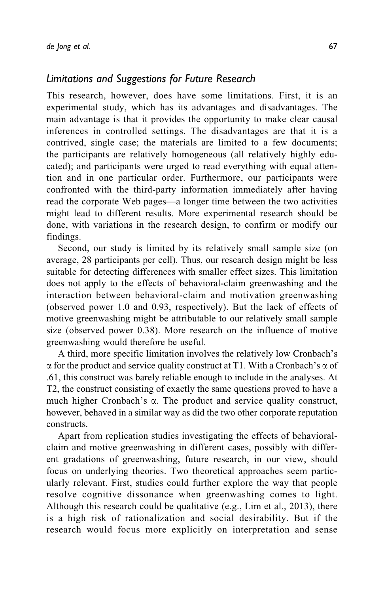### Limitations and Suggestions for Future Research

This research, however, does have some limitations. First, it is an experimental study, which has its advantages and disadvantages. The main advantage is that it provides the opportunity to make clear causal inferences in controlled settings. The disadvantages are that it is a contrived, single case; the materials are limited to a few documents; the participants are relatively homogeneous (all relatively highly educated); and participants were urged to read everything with equal attention and in one particular order. Furthermore, our participants were confronted with the third-party information immediately after having read the corporate Web pages—a longer time between the two activities might lead to different results. More experimental research should be done, with variations in the research design, to confirm or modify our findings.

Second, our study is limited by its relatively small sample size (on average, 28 participants per cell). Thus, our research design might be less suitable for detecting differences with smaller effect sizes. This limitation does not apply to the effects of behavioral-claim greenwashing and the interaction between behavioral-claim and motivation greenwashing (observed power 1.0 and 0.93, respectively). But the lack of effects of motive greenwashing might be attributable to our relatively small sample size (observed power 0.38). More research on the influence of motive greenwashing would therefore be useful.

A third, more specific limitation involves the relatively low Cronbach's  $\alpha$  for the product and service quality construct at T1. With a Cronbach's  $\alpha$  of .61, this construct was barely reliable enough to include in the analyses. At T2, the construct consisting of exactly the same questions proved to have a much higher Cronbach's  $\alpha$ . The product and service quality construct, however, behaved in a similar way as did the two other corporate reputation constructs.

Apart from replication studies investigating the effects of behavioralclaim and motive greenwashing in different cases, possibly with different gradations of greenwashing, future research, in our view, should focus on underlying theories. Two theoretical approaches seem particularly relevant. First, studies could further explore the way that people resolve cognitive dissonance when greenwashing comes to light. Although this research could be qualitative (e.g., Lim et al., 2013), there is a high risk of rationalization and social desirability. But if the research would focus more explicitly on interpretation and sense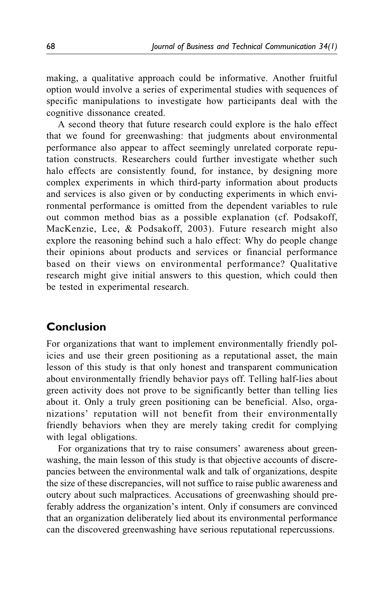making, a qualitative approach could be informative. Another fruitful option would involve a series of experimental studies with sequences of specific manipulations to investigate how participants deal with the cognitive dissonance created.

A second theory that future research could explore is the halo effect that we found for greenwashing: that judgments about environmental performance also appear to affect seemingly unrelated corporate reputation constructs. Researchers could further investigate whether such halo effects are consistently found, for instance, by designing more complex experiments in which third-party information about products and services is also given or by conducting experiments in which environmental performance is omitted from the dependent variables to rule out common method bias as a possible explanation (cf. Podsakoff, MacKenzie, Lee, & Podsakoff, 2003). Future research might also explore the reasoning behind such a halo effect: Why do people change their opinions about products and services or financial performance based on their views on environmental performance? Qualitative research might give initial answers to this question, which could then be tested in experimental research.

# Conclusion

For organizations that want to implement environmentally friendly policies and use their green positioning as a reputational asset, the main lesson of this study is that only honest and transparent communication about environmentally friendly behavior pays off. Telling half-lies about green activity does not prove to be significantly better than telling lies about it. Only a truly green positioning can be beneficial. Also, organizations' reputation will not benefit from their environmentally friendly behaviors when they are merely taking credit for complying with legal obligations.

For organizations that try to raise consumers' awareness about greenwashing, the main lesson of this study is that objective accounts of discrepancies between the environmental walk and talk of organizations, despite the size of these discrepancies, will not suffice to raise public awareness and outcry about such malpractices. Accusations of greenwashing should preferably address the organization's intent. Only if consumers are convinced that an organization deliberately lied about its environmental performance can the discovered greenwashing have serious reputational repercussions.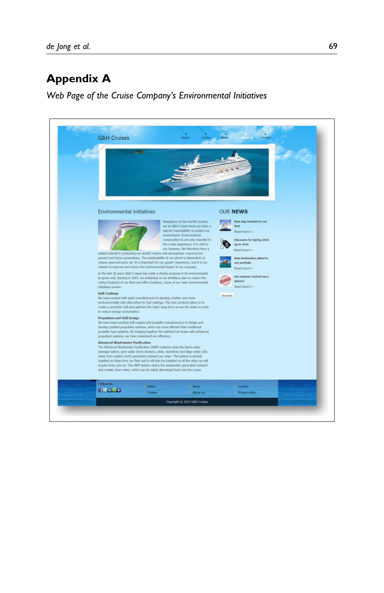# Appendix A

Web Page of the Cruise Company's Environmental Initiatives

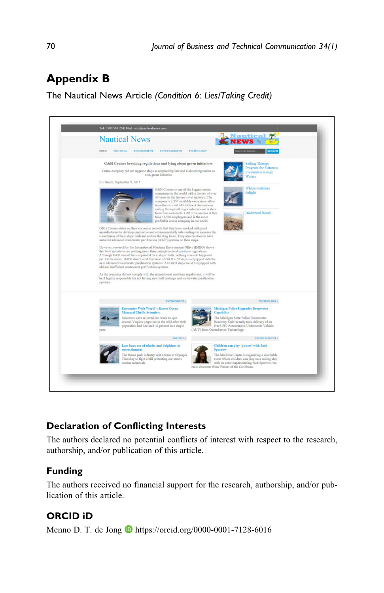# Appendix B

The Nautical News Article (Condition 6: Lies/Taking Credit)



## Declaration of Conflicting Interests

The authors declared no potential conflicts of interest with respect to the research, authorship, and/or publication of this article.

## Funding

The authors received no financial support for the research, authorship, and/or publication of this article.

# ORCID iD

Menno D. T. de Jong  $\bullet$  <https://orcid.org/0000-0001-7128-6016>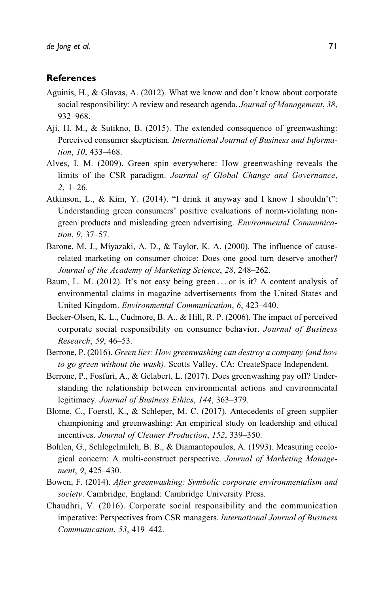#### References

- Aguinis, H., & Glavas, A. (2012). What we know and don't know about corporate social responsibility: A review and research agenda. Journal of Management, 38, 932–968.
- Aji, H. M., & Sutikno, B. (2015). The extended consequence of greenwashing: Perceived consumer skepticism. International Journal of Business and Information, 10, 433–468.
- Alves, I. M. (2009). Green spin everywhere: How greenwashing reveals the limits of the CSR paradigm. Journal of Global Change and Governance, 2, 1–26.
- Atkinson, L., & Kim, Y. (2014). "I drink it anyway and I know I shouldn't": Understanding green consumers' positive evaluations of norm-violating nongreen products and misleading green advertising. Environmental Communication, 9, 37–57.
- Barone, M. J., Miyazaki, A. D., & Taylor, K. A. (2000). The influence of causerelated marketing on consumer choice: Does one good turn deserve another? Journal of the Academy of Marketing Science, 28, 248–262.
- Baum, L. M. (2012). It's not easy being green ... or is it? A content analysis of environmental claims in magazine advertisements from the United States and United Kingdom. Environmental Communication, 6, 423–440.
- Becker-Olsen, K. L., Cudmore, B. A., & Hill, R. P. (2006). The impact of perceived corporate social responsibility on consumer behavior. Journal of Business Research, 59, 46–53.
- Berrone, P. (2016). Green lies: How greenwashing can destroy a company (and how to go green without the wash). Scotts Valley, CA: CreateSpace Independent.
- Berrone, P., Fosfuri, A., & Gelabert, L. (2017). Does greenwashing pay off? Understanding the relationship between environmental actions and environmental legitimacy. Journal of Business Ethics, 144, 363–379.
- Blome, C., Foerstl, K., & Schleper, M. C. (2017). Antecedents of green supplier championing and greenwashing: An empirical study on leadership and ethical incentives. Journal of Cleaner Production, 152, 339–350.
- Bohlen, G., Schlegelmilch, B. B., & Diamantopoulos, A. (1993). Measuring ecological concern: A multi-construct perspective. Journal of Marketing Management, 9, 425–430.
- Bowen, F. (2014). After greenwashing: Symbolic corporate environmentalism and society. Cambridge, England: Cambridge University Press.
- Chaudhri, V. (2016). Corporate social responsibility and the communication imperative: Perspectives from CSR managers. International Journal of Business Communication, 53, 419–442.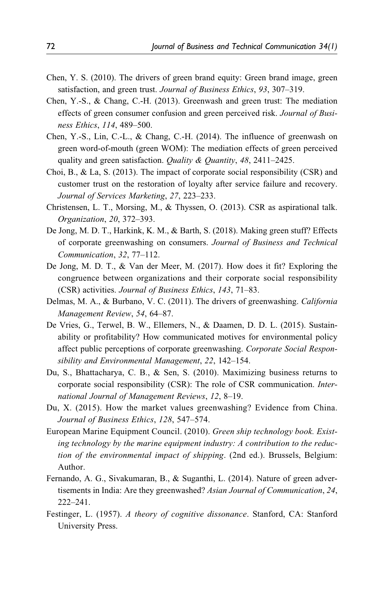- Chen, Y. S. (2010). The drivers of green brand equity: Green brand image, green satisfaction, and green trust. Journal of Business Ethics, 93, 307–319.
- Chen, Y.-S., & Chang, C.-H. (2013). Greenwash and green trust: The mediation effects of green consumer confusion and green perceived risk. Journal of Business Ethics, 114, 489–500.
- Chen, Y.-S., Lin, C.-L., & Chang, C.-H. (2014). The influence of greenwash on green word-of-mouth (green WOM): The mediation effects of green perceived quality and green satisfaction. *Quality & Quantity*, 48, 2411-2425.
- Choi, B., & La, S. (2013). The impact of corporate social responsibility (CSR) and customer trust on the restoration of loyalty after service failure and recovery. Journal of Services Marketing, 27, 223–233.
- Christensen, L. T., Morsing, M., & Thyssen, O. (2013). CSR as aspirational talk. Organization, 20, 372–393.
- De Jong, M. D. T., Harkink, K. M., & Barth, S. (2018). Making green stuff? Effects of corporate greenwashing on consumers. Journal of Business and Technical Communication, 32, 77–112.
- De Jong, M. D. T., & Van der Meer, M. (2017). How does it fit? Exploring the congruence between organizations and their corporate social responsibility (CSR) activities. Journal of Business Ethics, 143, 71–83.
- Delmas, M. A., & Burbano, V. C. (2011). The drivers of greenwashing. California Management Review, 54, 64–87.
- De Vries, G., Terwel, B. W., Ellemers, N., & Daamen, D. D. L. (2015). Sustainability or profitability? How communicated motives for environmental policy affect public perceptions of corporate greenwashing. Corporate Social Responsibility and Environmental Management, 22, 142–154.
- Du, S., Bhattacharya, C. B., & Sen, S. (2010). Maximizing business returns to corporate social responsibility (CSR): The role of CSR communication. International Journal of Management Reviews, 12, 8–19.
- Du, X. (2015). How the market values greenwashing? Evidence from China. Journal of Business Ethics, 128, 547–574.
- European Marine Equipment Council. (2010). Green ship technology book. Existing technology by the marine equipment industry: A contribution to the reduction of the environmental impact of shipping. (2nd ed.). Brussels, Belgium: Author.
- Fernando, A. G., Sivakumaran, B., & Suganthi, L. (2014). Nature of green advertisements in India: Are they greenwashed? Asian Journal of Communication, 24,  $222 - 241$ .
- Festinger, L. (1957). A theory of cognitive dissonance. Stanford, CA: Stanford University Press.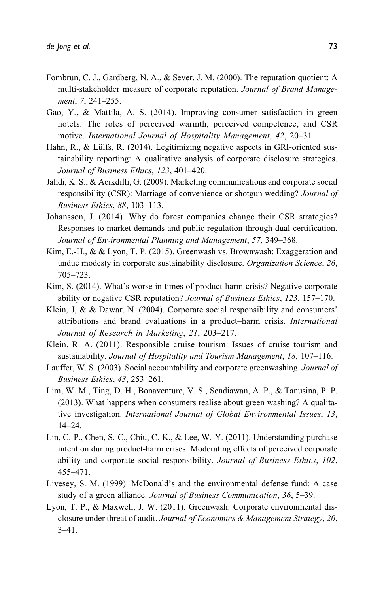- Fombrun, C. J., Gardberg, N. A., & Sever, J. M. (2000). The reputation quotient: A multi-stakeholder measure of corporate reputation. Journal of Brand Management, 7, 241–255.
- Gao, Y., & Mattila, A. S. (2014). Improving consumer satisfaction in green hotels: The roles of perceived warmth, perceived competence, and CSR motive. International Journal of Hospitality Management, 42, 20–31.
- Hahn, R., & Lülfs, R. (2014). Legitimizing negative aspects in GRI-oriented sustainability reporting: A qualitative analysis of corporate disclosure strategies. Journal of Business Ethics, 123, 401–420.
- Jahdi, K. S., & Acikdilli, G. (2009). Marketing communications and corporate social responsibility (CSR): Marriage of convenience or shotgun wedding? Journal of Business Ethics, 88, 103–113.
- Johansson, J. (2014). Why do forest companies change their CSR strategies? Responses to market demands and public regulation through dual-certification. Journal of Environmental Planning and Management, 57, 349–368.
- Kim, E.-H., & & Lyon, T. P. (2015). Greenwash vs. Brownwash: Exaggeration and undue modesty in corporate sustainability disclosure. Organization Science, 26, 705–723.
- Kim, S. (2014). What's worse in times of product-harm crisis? Negative corporate ability or negative CSR reputation? Journal of Business Ethics, 123, 157-170.
- Klein, J, & & Dawar, N. (2004). Corporate social responsibility and consumers' attributions and brand evaluations in a product–harm crisis. International Journal of Research in Marketing, 21, 203–217.
- Klein, R. A. (2011). Responsible cruise tourism: Issues of cruise tourism and sustainability. Journal of Hospitality and Tourism Management, 18, 107–116.
- Lauffer, W. S. (2003). Social accountability and corporate greenwashing. Journal of Business Ethics, 43, 253–261.
- Lim, W. M., Ting, D. H., Bonaventure, V. S., Sendiawan, A. P., & Tanusina, P. P. (2013). What happens when consumers realise about green washing? A qualitative investigation. International Journal of Global Environmental Issues, 13, 14–24.
- Lin, C.-P., Chen, S.-C., Chiu, C.-K., & Lee, W.-Y. (2011). Understanding purchase intention during product-harm crises: Moderating effects of perceived corporate ability and corporate social responsibility. Journal of Business Ethics, 102, 455–471.
- Livesey, S. M. (1999). McDonald's and the environmental defense fund: A case study of a green alliance. Journal of Business Communication, 36, 5–39.
- Lyon, T. P., & Maxwell, J. W. (2011). Greenwash: Corporate environmental disclosure under threat of audit. Journal of Economics & Management Strategy, 20, 3–41.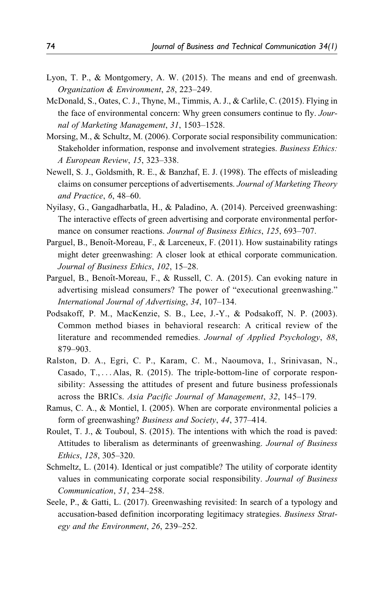- Lyon, T. P., & Montgomery, A. W. (2015). The means and end of greenwash. Organization & Environment, 28, 223–249.
- McDonald, S., Oates, C. J., Thyne, M., Timmis, A. J., & Carlile, C. (2015). Flying in the face of environmental concern: Why green consumers continue to fly. Journal of Marketing Management, 31, 1503–1528.
- Morsing, M., & Schultz, M. (2006). Corporate social responsibility communication: Stakeholder information, response and involvement strategies. Business Ethics: A European Review, 15, 323–338.
- Newell, S. J., Goldsmith, R. E., & Banzhaf, E. J. (1998). The effects of misleading claims on consumer perceptions of advertisements. Journal of Marketing Theory and Practice, 6, 48–60.
- Nyilasy, G., Gangadharbatla, H., & Paladino, A. (2014). Perceived greenwashing: The interactive effects of green advertising and corporate environmental performance on consumer reactions. Journal of Business Ethics, 125, 693–707.
- Parguel, B., Benoît-Moreau, F., & Larceneux, F. (2011). How sustainability ratings might deter greenwashing: A closer look at ethical corporate communication. Journal of Business Ethics, 102, 15–28.
- Parguel, B., Benoît-Moreau, F., & Russell, C. A. (2015). Can evoking nature in advertising mislead consumers? The power of "executional greenwashing." International Journal of Advertising, 34, 107–134.
- Podsakoff, P. M., MacKenzie, S. B., Lee, J.-Y., & Podsakoff, N. P. (2003). Common method biases in behavioral research: A critical review of the literature and recommended remedies. Journal of Applied Psychology, 88, 879–903.
- Ralston, D. A., Egri, C. P., Karam, C. M., Naoumova, I., Srinivasan, N., Casado, T., ... Alas, R. (2015). The triple-bottom-line of corporate responsibility: Assessing the attitudes of present and future business professionals across the BRICs. Asia Pacific Journal of Management, 32, 145–179.
- Ramus, C. A., & Montiel, I. (2005). When are corporate environmental policies a form of greenwashing? Business and Society, 44, 377–414.
- Roulet, T. J., & Touboul, S. (2015). The intentions with which the road is paved: Attitudes to liberalism as determinants of greenwashing. Journal of Business Ethics, 128, 305–320.
- Schmeltz, L. (2014). Identical or just compatible? The utility of corporate identity values in communicating corporate social responsibility. Journal of Business Communication, 51, 234–258.
- Seele, P., & Gatti, L. (2017). Greenwashing revisited: In search of a typology and accusation-based definition incorporating legitimacy strategies. Business Strategy and the Environment, 26, 239–252.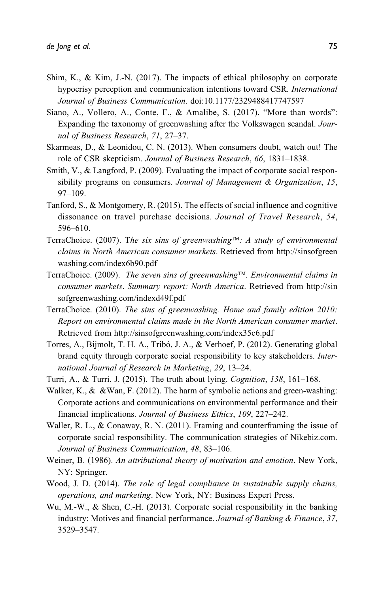- Shim, K., & Kim, J.-N. (2017). The impacts of ethical philosophy on corporate hypocrisy perception and communication intentions toward CSR. International Journal of Business Communication. doi:10.1177/2329488417747597
- Siano, A., Vollero, A., Conte, F., & Amalibe, S. (2017). "More than words": Expanding the taxonomy of greenwashing after the Volkswagen scandal. Journal of Business Research, 71, 27–37.
- Skarmeas, D., & Leonidou, C. N. (2013). When consumers doubt, watch out! The role of CSR skepticism. Journal of Business Research, 66, 1831–1838.
- Smith, V., & Langford, P. (2009). Evaluating the impact of corporate social responsibility programs on consumers. Journal of Management & Organization, 15, 97–109.
- Tanford, S., & Montgomery, R. (2015). The effects of social influence and cognitive dissonance on travel purchase decisions. Journal of Travel Research, 54, 596–610.
- TerraChoice. (2007). The six sins of greenwashing™: A study of environmental claims in North American consumer markets. Retrieved from [http://sinsofgreen](http://sinsofgreenwashing.com/index6b90.pdf) [washing.com/index6b90.pdf](http://sinsofgreenwashing.com/index6b90.pdf)
- TerraChoice. (2009). The seven sins of greenwashing™. Environmental claims in consumer markets. Summary report: North America. Retrieved from [http://sin](http://sinsofgreenwashing.com/indexd49f.pdf) [sofgreenwashing.com/indexd49f.pdf](http://sinsofgreenwashing.com/indexd49f.pdf)
- TerraChoice. (2010). The sins of greenwashing. Home and family edition 2010: Report on environmental claims made in the North American consumer market. Retrieved from<http://sinsofgreenwashing.com/index35c6.pdf>
- Torres, A., Bijmolt, T. H. A., Tribó, J. A., & Verhoef, P. (2012). Generating global brand equity through corporate social responsibility to key stakeholders. International Journal of Research in Marketing, 29, 13–24.
- Turri, A., & Turri, J. (2015). The truth about lying. Cognition, 138, 161–168.
- Walker, K., & &Wan, F. (2012). The harm of symbolic actions and green-washing: Corporate actions and communications on environmental performance and their financial implications. Journal of Business Ethics, 109, 227–242.
- Waller, R. L., & Conaway, R. N. (2011). Framing and counterframing the issue of corporate social responsibility. The communication strategies of Nikebiz.com. Journal of Business Communication, 48, 83–106.
- Weiner, B. (1986). An attributional theory of motivation and emotion. New York, NY: Springer.
- Wood, J. D. (2014). The role of legal compliance in sustainable supply chains, operations, and marketing. New York, NY: Business Expert Press.
- Wu, M.-W., & Shen, C.-H. (2013). Corporate social responsibility in the banking industry: Motives and financial performance. Journal of Banking & Finance, 37, 3529–3547.